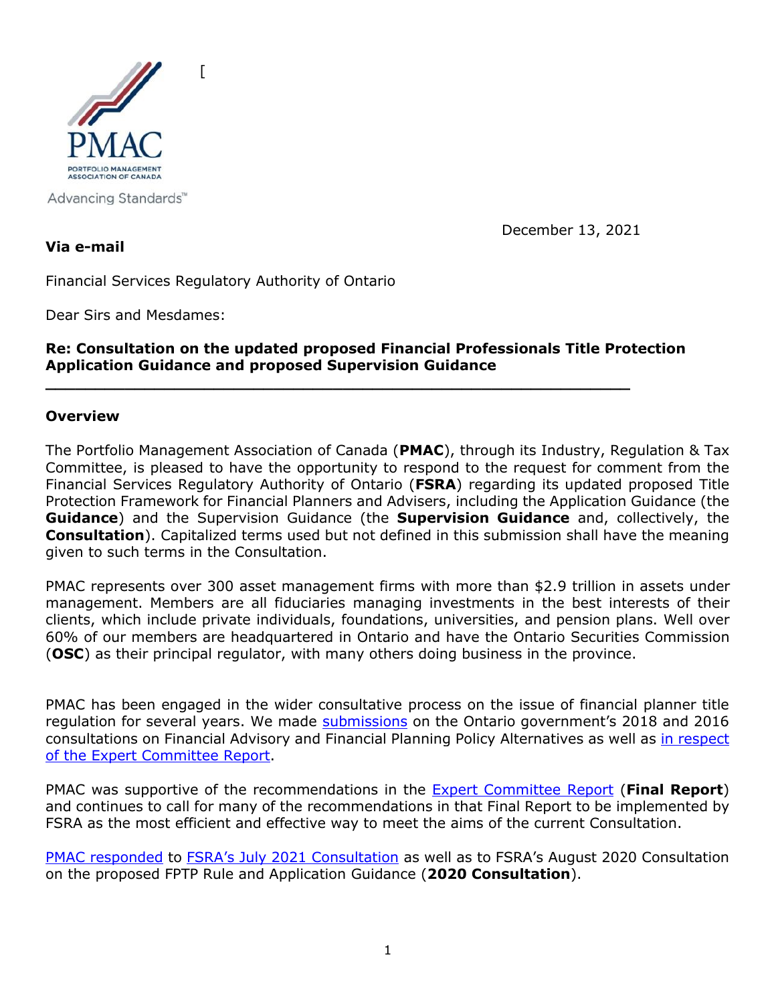

Advancing Standards™

December 13, 2021

**Via e-mail**

Financial Services Regulatory Authority of Ontario

 $\lceil$ 

Dear Sirs and Mesdames:

### **Re: Consultation on the updated proposed Financial Professionals Title Protection Application Guidance and proposed Supervision Guidance**

**\_\_\_\_\_\_\_\_\_\_\_\_\_\_\_\_\_\_\_\_\_\_\_\_\_\_\_\_\_\_\_\_\_\_\_\_\_\_\_\_\_\_\_\_\_\_\_\_\_\_\_\_\_\_\_\_\_\_\_**

#### **Overview**

The Portfolio Management Association of Canada (**PMAC**), through its Industry, Regulation & Tax Committee, is pleased to have the opportunity to respond to the request for comment from the Financial Services Regulatory Authority of Ontario (**FSRA**) regarding its updated proposed Title Protection Framework for Financial Planners and Advisers, including the Application Guidance (the **Guidance**) and the Supervision Guidance (the **Supervision Guidance** and, collectively, the **Consultation**). Capitalized terms used but not defined in this submission shall have the meaning given to such terms in the Consultation.

PMAC represents over 300 asset management firms with more than \$2.9 trillion in assets under management. Members are all fiduciaries managing investments in the best interests of their clients, which include private individuals, foundations, universities, and pension plans. Well over 60% of our members are headquartered in Ontario and have the Ontario Securities Commission (**OSC**) as their principal regulator, with many others doing business in the province.

PMAC has been engaged in the wider consultative process on the issue of financial planner title regulation for several years. We made [submissions](http://www.portfoliomanagement.org/wp-content/uploads/2016/06/PMAC-Submission-on-Ontario-Financial-Planning-Consultation-June-2016.pdf) on the Ontario government's 2018 and 2016 consultations on Financial Advisory and Financial Planning Policy Alternatives as well as [in respect](http://www.portfoliomanagement.org/wp-content/uploads/2017/05/PMAC-Submission-on-Ontario-Financial-Advisory-and-Financial-Planning-Regulatory-Policy-Alternatives-final-2017.pdf)  [of the Expert Committee Report.](http://www.portfoliomanagement.org/wp-content/uploads/2017/05/PMAC-Submission-on-Ontario-Financial-Advisory-and-Financial-Planning-Regulatory-Policy-Alternatives-final-2017.pdf)

PMAC was supportive of the recommendations in the [Expert Committee Report](https://www.fin.gov.on.ca/en/consultations/fpfa/fpfa-final-report.html) (**Final Report**) and continues to call for many of the recommendations in that Final Report to be implemented by FSRA as the most efficient and effective way to meet the aims of the current Consultation.

[PMAC responded](https://pmac.org/wp-content/uploads/2020/11/PMAC-Submission-on-FSRA-Financial-Planner-and-Financial-Adviser-Rule-and-Guidance-final.pdf) to [FSRA's July 2021 Consultation](https://pmac.org/wp-content/uploads/2021/07/PMAC-Submission-on-FSRA-Financial-Planner-and-Financial-Advisor-Rule-and-Guidance-2021-Final.pdf) as well as to FSRA's August 2020 Consultation on the proposed FPTP Rule and Application Guidance (**2020 Consultation**).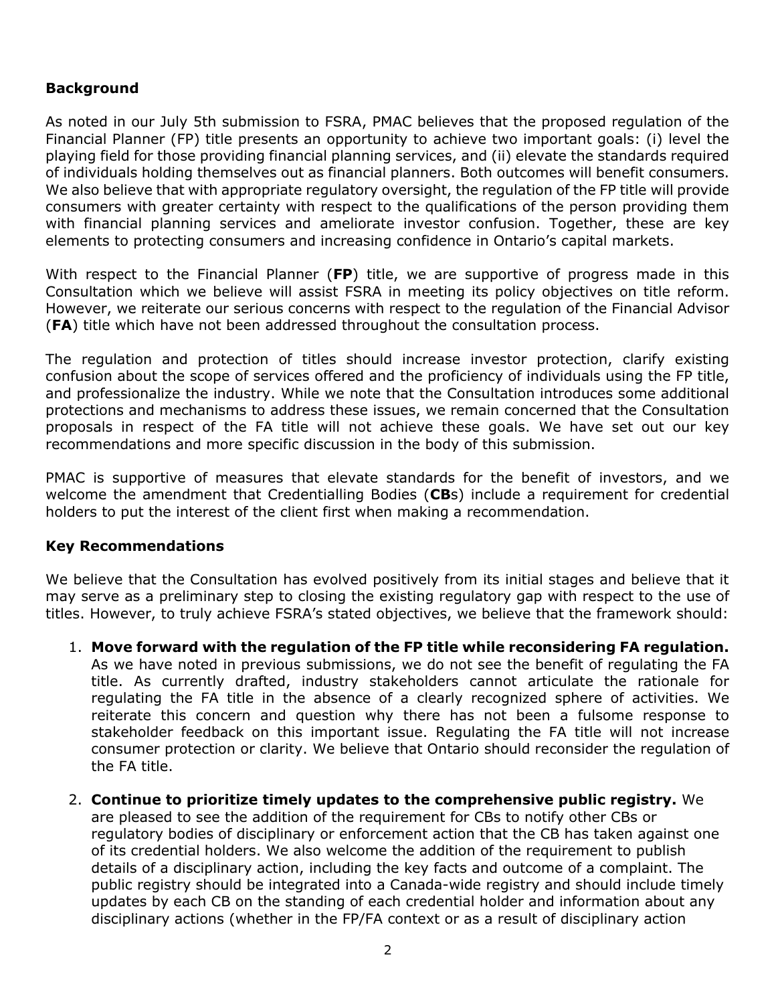# **Background**

As noted in our July 5th submission to FSRA, PMAC believes that the proposed regulation of the Financial Planner (FP) title presents an opportunity to achieve two important goals: (i) level the playing field for those providing financial planning services, and (ii) elevate the standards required of individuals holding themselves out as financial planners. Both outcomes will benefit consumers. We also believe that with appropriate regulatory oversight, the regulation of the FP title will provide consumers with greater certainty with respect to the qualifications of the person providing them with financial planning services and ameliorate investor confusion. Together, these are key elements to protecting consumers and increasing confidence in Ontario's capital markets.

With respect to the Financial Planner (**FP**) title, we are supportive of progress made in this Consultation which we believe will assist FSRA in meeting its policy objectives on title reform. However, we reiterate our serious concerns with respect to the regulation of the Financial Advisor (**FA**) title which have not been addressed throughout the consultation process.

The regulation and protection of titles should increase investor protection, clarify existing confusion about the scope of services offered and the proficiency of individuals using the FP title, and professionalize the industry. While we note that the Consultation introduces some additional protections and mechanisms to address these issues, we remain concerned that the Consultation proposals in respect of the FA title will not achieve these goals. We have set out our key recommendations and more specific discussion in the body of this submission.

PMAC is supportive of measures that elevate standards for the benefit of investors, and we welcome the amendment that Credentialling Bodies (**CB**s) include a requirement for credential holders to put the interest of the client first when making a recommendation.

#### **Key Recommendations**

We believe that the Consultation has evolved positively from its initial stages and believe that it may serve as a preliminary step to closing the existing regulatory gap with respect to the use of titles. However, to truly achieve FSRA's stated objectives, we believe that the framework should:

- 1. **Move forward with the regulation of the FP title while reconsidering FA regulation.**  As we have noted in previous submissions, we do not see the benefit of regulating the FA title. As currently drafted, industry stakeholders cannot articulate the rationale for regulating the FA title in the absence of a clearly recognized sphere of activities. We reiterate this concern and question why there has not been a fulsome response to stakeholder feedback on this important issue. Regulating the FA title will not increase consumer protection or clarity. We believe that Ontario should reconsider the regulation of the FA title.
- 2. **Continue to prioritize timely updates to the comprehensive public registry.** We are pleased to see the addition of the requirement for CBs to notify other CBs or regulatory bodies of disciplinary or enforcement action that the CB has taken against one of its credential holders. We also welcome the addition of the requirement to publish details of a disciplinary action, including the key facts and outcome of a complaint. The public registry should be integrated into a Canada-wide registry and should include timely updates by each CB on the standing of each credential holder and information about any disciplinary actions (whether in the FP/FA context or as a result of disciplinary action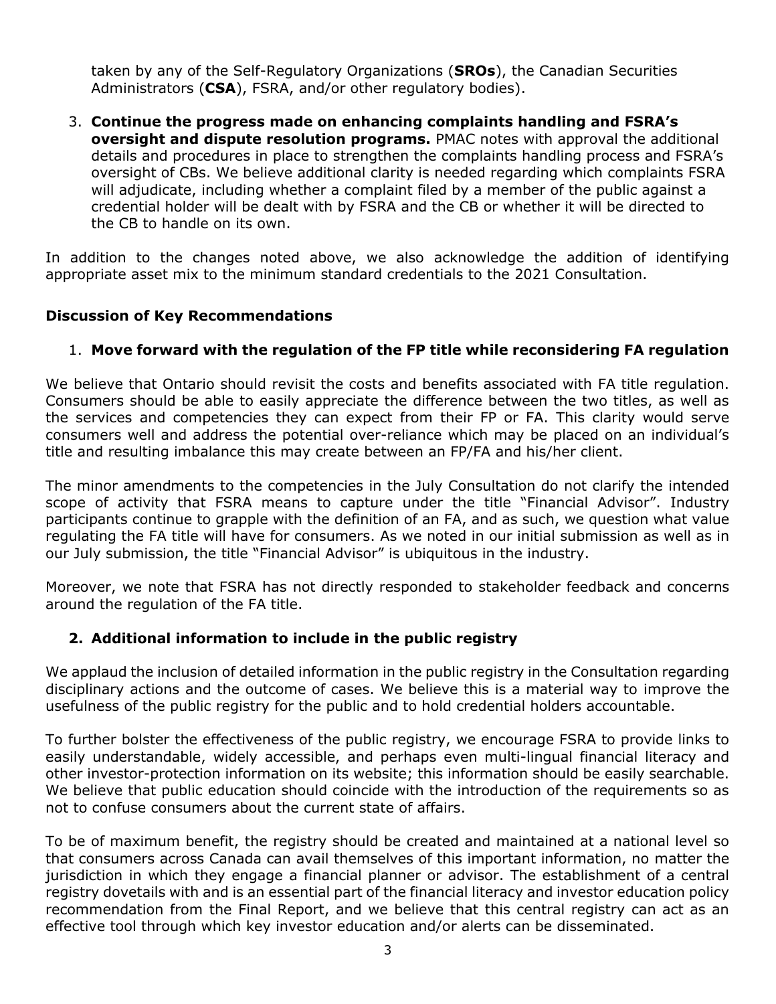taken by any of the Self-Regulatory Organizations (**SROs**), the Canadian Securities Administrators (**CSA**), FSRA, and/or other regulatory bodies).

3. **Continue the progress made on enhancing complaints handling and FSRA's oversight and dispute resolution programs.** PMAC notes with approval the additional details and procedures in place to strengthen the complaints handling process and FSRA's oversight of CBs. We believe additional clarity is needed regarding which complaints FSRA will adjudicate, including whether a complaint filed by a member of the public against a credential holder will be dealt with by FSRA and the CB or whether it will be directed to the CB to handle on its own.

In addition to the changes noted above, we also acknowledge the addition of identifying appropriate asset mix to the minimum standard credentials to the 2021 Consultation.

### **Discussion of Key Recommendations**

### 1. **Move forward with the regulation of the FP title while reconsidering FA regulation**

We believe that Ontario should revisit the costs and benefits associated with FA title regulation. Consumers should be able to easily appreciate the difference between the two titles, as well as the services and competencies they can expect from their FP or FA. This clarity would serve consumers well and address the potential over-reliance which may be placed on an individual's title and resulting imbalance this may create between an FP/FA and his/her client.

The minor amendments to the competencies in the July Consultation do not clarify the intended scope of activity that FSRA means to capture under the title "Financial Advisor". Industry participants continue to grapple with the definition of an FA, and as such, we question what value regulating the FA title will have for consumers. As we noted in our initial submission as well as in our July submission, the title "Financial Advisor" is ubiquitous in the industry.

Moreover, we note that FSRA has not directly responded to stakeholder feedback and concerns around the regulation of the FA title.

### **2. Additional information to include in the public registry**

We applaud the inclusion of detailed information in the public registry in the Consultation regarding disciplinary actions and the outcome of cases. We believe this is a material way to improve the usefulness of the public registry for the public and to hold credential holders accountable.

To further bolster the effectiveness of the public registry, we encourage FSRA to provide links to easily understandable, widely accessible, and perhaps even multi-lingual financial literacy and other investor-protection information on its website; this information should be easily searchable. We believe that public education should coincide with the introduction of the requirements so as not to confuse consumers about the current state of affairs.

To be of maximum benefit, the registry should be created and maintained at a national level so that consumers across Canada can avail themselves of this important information, no matter the jurisdiction in which they engage a financial planner or advisor. The establishment of a central registry dovetails with and is an essential part of the financial literacy and investor education policy recommendation from the Final Report, and we believe that this central registry can act as an effective tool through which key investor education and/or alerts can be disseminated.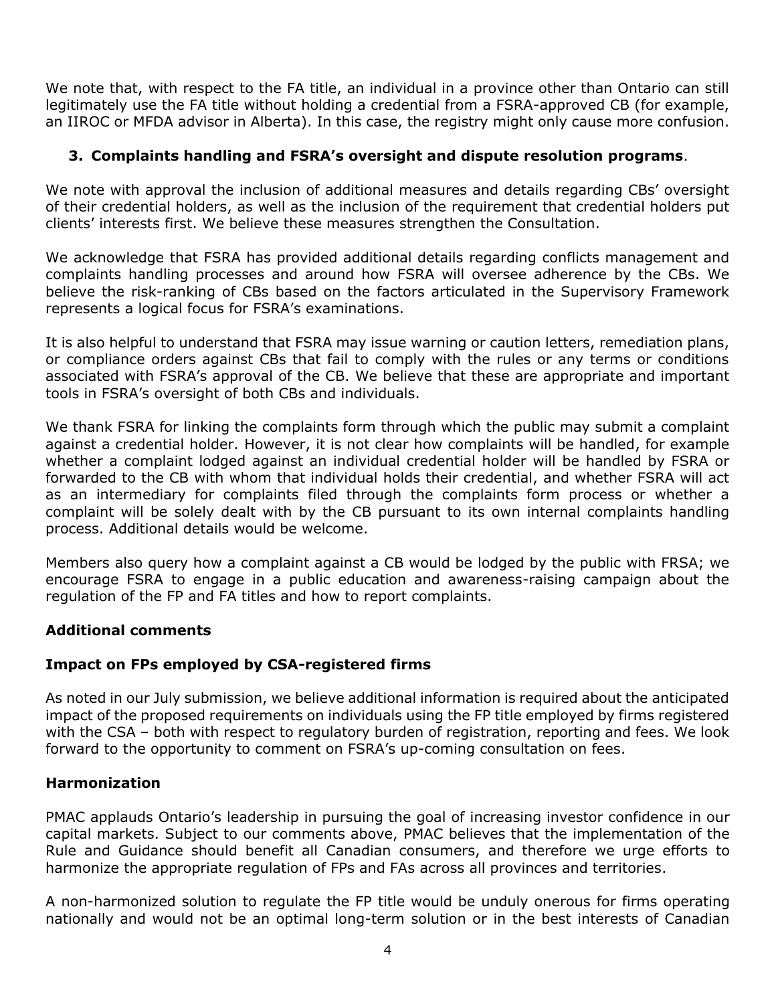We note that, with respect to the FA title, an individual in a province other than Ontario can still legitimately use the FA title without holding a credential from a FSRA-approved CB (for example, an IIROC or MFDA advisor in Alberta). In this case, the registry might only cause more confusion.

# **3. Complaints handling and FSRA's oversight and dispute resolution programs**.

We note with approval the inclusion of additional measures and details regarding CBs' oversight of their credential holders, as well as the inclusion of the requirement that credential holders put clients' interests first. We believe these measures strengthen the Consultation.

We acknowledge that FSRA has provided additional details regarding conflicts management and complaints handling processes and around how FSRA will oversee adherence by the CBs. We believe the risk-ranking of CBs based on the factors articulated in the Supervisory Framework represents a logical focus for FSRA's examinations.

It is also helpful to understand that FSRA may issue warning or caution letters, remediation plans, or compliance orders against CBs that fail to comply with the rules or any terms or conditions associated with FSRA's approval of the CB. We believe that these are appropriate and important tools in FSRA's oversight of both CBs and individuals.

We thank FSRA for linking the complaints form through which the public may submit a complaint against a credential holder. However, it is not clear how complaints will be handled, for example whether a complaint lodged against an individual credential holder will be handled by FSRA or forwarded to the CB with whom that individual holds their credential, and whether FSRA will act as an intermediary for complaints filed through the complaints form process or whether a complaint will be solely dealt with by the CB pursuant to its own internal complaints handling process. Additional details would be welcome.

Members also query how a complaint against a CB would be lodged by the public with FRSA; we encourage FSRA to engage in a public education and awareness-raising campaign about the regulation of the FP and FA titles and how to report complaints.

### **Additional comments**

# **Impact on FPs employed by CSA-registered firms**

As noted in our July submission, we believe additional information is required about the anticipated impact of the proposed requirements on individuals using the FP title employed by firms registered with the CSA – both with respect to regulatory burden of registration, reporting and fees. We look forward to the opportunity to comment on FSRA's up-coming consultation on fees.

### **Harmonization**

PMAC applauds Ontario's leadership in pursuing the goal of increasing investor confidence in our capital markets. Subject to our comments above, PMAC believes that the implementation of the Rule and Guidance should benefit all Canadian consumers, and therefore we urge efforts to harmonize the appropriate regulation of FPs and FAs across all provinces and territories.

A non-harmonized solution to regulate the FP title would be unduly onerous for firms operating nationally and would not be an optimal long-term solution or in the best interests of Canadian